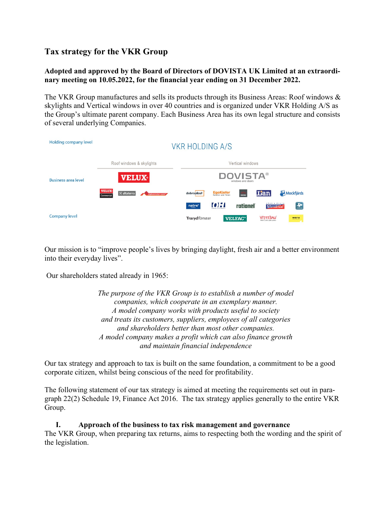# **Tax strategy for the VKR Group**

# **Adopted and approved by the Board of Directors of DOVISTA UK Limited at an extraordinary meeting on 10.05.2022, for the financial year ending on 31 December 2022.**

The VKR Group manufactures and sells its products through its Business Areas: Roof windows & skylights and Vertical windows in over 40 countries and is organized under VKR Holding A/S as the Group's ultimate parent company. Each Business Area has its own legal structure and consists of several underlying Companies.

| Holding company level      | <b>VKR HOLDING A/S</b>                                                              |                                                                                                                                          |
|----------------------------|-------------------------------------------------------------------------------------|------------------------------------------------------------------------------------------------------------------------------------------|
|                            | Roof windows & skylights                                                            | Vertical windows                                                                                                                         |
| <b>Business area level</b> | <b>VELUX</b>                                                                        | <b>DOVISTA®</b><br>windows and doors                                                                                                     |
|                            | <b>VELUX</b><br>$\mathbb{Z}$ altaterra<br>dakvenster.com <sup>*</sup><br>Commercial | <b>Lian</b><br>Mockfjärds<br>EgoKiefer<br><b>HALL</b><br>dobroplast                                                                      |
| <b>Company level</b>       |                                                                                     | okná a dvere<br>$\left(\frac{\sqrt{2}}{\sin \theta}\right)$<br>$[0]$ : $[$<br><b>rationel</b><br>natre <sup>*</sup><br><b>Slovaktual</b> |
|                            |                                                                                     | U/ERTSAU<br><b>Trarydfönster</b><br><b>VELFAC<sup>®</sup></b><br>weru<br>Mehr Licht zum Leben                                            |
|                            |                                                                                     |                                                                                                                                          |

Our mission is to "improve people's lives by bringing daylight, fresh air and a better environment into their everyday lives".

Our shareholders stated already in 1965:

*The purpose of the VKR Group is to establish a number of model companies, which cooperate in an exemplary manner. A model company works with products useful to society and treats its customers, suppliers, employees of all categories and shareholders better than most other companies. A model company makes a profit which can also finance growth and maintain financial independence*

Our tax strategy and approach to tax is built on the same foundation, a commitment to be a good corporate citizen, whilst being conscious of the need for profitability.

The following statement of our tax strategy is aimed at meeting the requirements set out in paragraph 22(2) Schedule 19, Finance Act 2016. The tax strategy applies generally to the entire VKR Group.

#### **I. Approach of the business to tax risk management and governance**

The VKR Group, when preparing tax returns, aims to respecting both the wording and the spirit of the legislation.